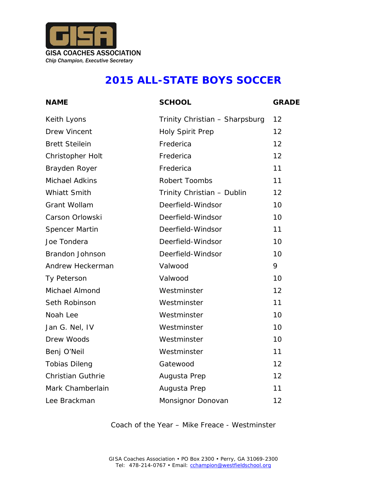

### **2015 ALL-STATE BOYS SOCCER**

| <b>NAME</b>              | <b>SCHOOL</b>                  | <b>GRADE</b> |
|--------------------------|--------------------------------|--------------|
| Keith Lyons              | Trinity Christian - Sharpsburg | 12           |
| <b>Drew Vincent</b>      | Holy Spirit Prep               | 12           |
| <b>Brett Steilein</b>    | Frederica                      | 12           |
| Christopher Holt         | Frederica                      | 12           |
| Brayden Royer            | Frederica                      | 11           |
| Michael Adkins           | Robert Toombs                  | 11           |
| Whiatt Smith             | Trinity Christian - Dublin     | 12           |
| Grant Wollam             | Deerfield-Windsor              | 10           |
| Carson Orlowski          | Deerfield-Windsor              | 10           |
| Spencer Martin           | Deerfield-Windsor              | 11           |
| Joe Tondera              | Deerfield-Windsor              | 10           |
| Brandon Johnson          | Deerfield-Windsor              | 10           |
| Andrew Heckerman         | Valwood                        | 9            |
| Ty Peterson              | Valwood                        | 10           |
| Michael Almond           | Westminster                    | 12           |
| Seth Robinson            | Westminster                    | 11           |
| Noah Lee                 | Westminster                    | 10           |
| Jan G. Nel, IV           | Westminster                    | 10           |
| Drew Woods               | Westminster                    | 10           |
| Benj O'Neil              | Westminster                    | 11           |
| <b>Tobias Dileng</b>     | Gatewood                       | 12           |
| <b>Christian Guthrie</b> | Augusta Prep                   | 12           |
| Mark Chamberlain         | Augusta Prep                   | 11           |
| Lee Brackman             | Monsignor Donovan              | 12           |

#### Coach of the Year – Mike Freace - Westminster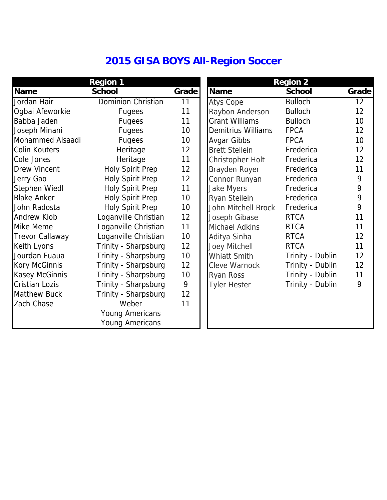# **2015 GISA BOYS All-Region Soccer**

|                        | Region 1                |                 |                       | Region 2         |       |
|------------------------|-------------------------|-----------------|-----------------------|------------------|-------|
| Name                   | School                  | Grade           | Name                  | School           | Grade |
| Jordan Hair            | Dominion Christian      | 11              | Atys Cope             | <b>Bulloch</b>   | 12    |
| Ogbai Afeworkie        | Fugees                  | 11              | Raybon Anderson       | <b>Bulloch</b>   | 12    |
| Babba Jaden            | Fugees                  | 11              | <b>Grant Williams</b> | <b>Bulloch</b>   | 10    |
| Joseph Minani          | Fugees                  | 10              | Demitrius Williams    | <b>FPCA</b>      | 12    |
| Mohammed Alsaadi       | Fugees                  | 10              | Avgar Gibbs           | <b>FPCA</b>      | 10    |
| Colin Kouters          | Heritage                | 12              | <b>Brett Steilein</b> | Frederica        | 12    |
| Cole Jones             | Heritage                | 11              | Christopher Holt      | Frederica        | 12    |
| Drew Vincent           | <b>Holy Spirit Prep</b> | 12              | Brayden Royer         | Frederica        | 11    |
| Jerry Gao              | <b>Holy Spirit Prep</b> | 12              | Connor Runyan         | Frederica        | 9     |
| Stephen Wiedl          | <b>Holy Spirit Prep</b> | 11              | Jake Myers            | Frederica        | 9     |
| <b>Blake Anker</b>     | Holy Spirit Prep        | 10              | Ryan Steilein         | Frederica        | 9     |
| John Radosta           | <b>Holy Spirit Prep</b> | 10              | John Mitchell Brock   | Frederica        | 9     |
| Andrew Klob            | Loganville Christian    | 12              | Joseph Gibase         | <b>RTCA</b>      | 11    |
| Mike Meme              | Loganville Christian    | 11              | Michael Adkins        | <b>RTCA</b>      | 11    |
| <b>Trevor Callaway</b> | Loganville Christian    | 10 <sup>1</sup> | Aditya Sinha          | <b>RTCA</b>      | 12    |
| Keith Lyons            | Trinity - Sharpsburg    | 12              | Joey Mitchell         | <b>RTCA</b>      | 11    |
| Jourdan Fuaua          | Trinity - Sharpsburg    | 10              | Whiatt Smith          | Trinity - Dublin | 12    |
| Kory McGinnis          | Trinity - Sharpsburg    | 12              | Cleve Warnock         | Trinity - Dublin | 12    |
| Kasey McGinnis         | Trinity - Sharpsburg    | 10              | Ryan Ross             | Trinity - Dublin | 11    |
| <b>Cristian Lozis</b>  | Trinity - Sharpsburg    | 9               | <b>Tyler Hester</b>   | Trinity - Dublin | 9     |
| <b>Matthew Buck</b>    | Trinity - Sharpsburg    | 12              |                       |                  |       |
| Zach Chase             | Weber                   | 11              |                       |                  |       |
|                        | Young Americans         |                 |                       |                  |       |
|                        | Young Americans         |                 |                       |                  |       |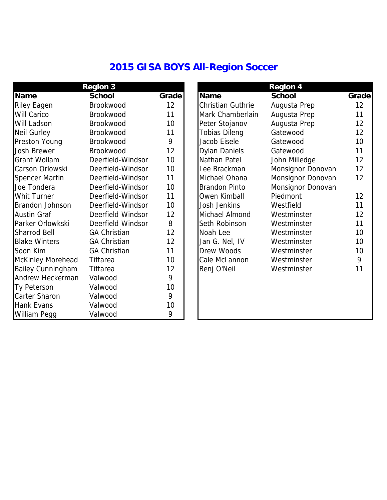## **2015 GISA BOYS All-Region Soccer**

|                                                                    | Region 3                           |       |
|--------------------------------------------------------------------|------------------------------------|-------|
| Name                                                               | School                             | Grade |
| <b>Riley Eagen</b>                                                 | Brookwood                          | 12    |
| Will Carico                                                        | Brookwood                          | 11    |
| Will Ladson                                                        | Brookwood                          | 10    |
| Neil Gurley                                                        | Brookwood                          | 11    |
| Preston Young Brookwood                                            |                                    | 9     |
| Josh Brewer                                                        | <b>Brookwood</b>                   | 12    |
|                                                                    | Grant Wollam Deerfield-Windsor     | 10    |
|                                                                    | Carson Orlowski Deerfield-Windsor  | 10    |
| Spencer Martin                                                     | Deerfield-Windsor                  | 11    |
| Joe Tondera                                                        | Deerfield-Windsor                  | 10    |
| Whit Turner                                                        | Deerfield-Windsor                  | 11    |
| Brandon Johnson Deerfield-Windsor<br>Austin Graf Deerfield-Windsor |                                    | 10    |
|                                                                    |                                    | 12    |
|                                                                    | Parker Orlowkski Deerfield-Windsor | 8     |
| <b>Sharrod Bell</b>                                                | <b>GA Christian</b>                | 12    |
| <b>Blake Winters</b>                                               | <b>GA Christian</b>                | 12    |
| Soon Kim                                                           | <b>GA Christian</b>                | 11    |
| McKinley Morehead Tiftarea                                         |                                    | 10    |
| Bailey Cunningham Tiftarea                                         |                                    | 12    |
| Andrew Heckerman Valwood                                           |                                    | 9     |
| Ty Peterson                                                        | Valwood                            | 10    |
| Carter Sharon                                                      | Valwood                            | 9     |
| Hank Evans                                                         | Valwood                            | 10    |
| William Pegg                                                       | Valwood                            | 9     |

| Region 3                 |                     | Region 4 |                      |                   |       |
|--------------------------|---------------------|----------|----------------------|-------------------|-------|
| Name                     | School              | Grade    | Name                 | School            | Grade |
| Riley Eagen              | Brookwood           | 12       | Christian Guthrie    | Augusta Prep      | 12    |
| Will Carico              | Brookwood           | 11       | Mark Chamberlain     | Augusta Prep      | 11    |
| Will Ladson              | <b>Brookwood</b>    | 10       | Peter Stojanov       | Augusta Prep      | 12    |
| Neil Gurley              | <b>Brookwood</b>    | 11       | <b>Tobias Dileng</b> | Gatewood          | 12    |
| Preston Young            | Brookwood           | 9        | Jacob Eisele         | Gatewood          | 10    |
| Josh Brewer              | Brookwood           | 12       | Dylan Daniels        | Gatewood          | 11    |
| Grant Wollam             | Deerfield-Windsor   | 10       | Nathan Patel         | John Milledge     | 12    |
| Carson Orlowski          | Deerfield-Windsor   | 10       | Lee Brackman         | Monsignor Donovan | 12    |
| Spencer Martin           | Deerfield-Windsor   | 11       | Michael Ohana        | Monsignor Donovan | 12    |
| Joe Tondera              | Deerfield-Windsor   | 10       | Brandon Pinto        | Monsignor Donovan |       |
| Whit Turner              | Deerfield-Windsor   | 11       | Owen Kimball         | Piedmont          | 12    |
| Brandon Johnson          | Deerfield-Windsor   | 10       | Josh Jenkins         | Westfield         | 11    |
| Austin Graf              | Deerfield-Windsor   | 12       | Michael Almond       | Westminster       | 12    |
| Parker Orlowkski         | Deerfield-Windsor   | 8        | Seth Robinson        | Westminster       | 11    |
| Sharrod Bell             | <b>GA Christian</b> | 12       | Noah Lee             | Westminster       | 10    |
| <b>Blake Winters</b>     | <b>GA Christian</b> | 12       | Jan G. Nel, IV       | Westminster       | 10    |
| Soon Kim                 | <b>GA Christian</b> | 11       | Drew Woods           | Westminster       | 10    |
| McKinley Morehead        | Tiftarea            | 10       | Cale McLannon        | Westminster       | 9     |
| <b>Bailey Cunningham</b> | Tiftarea            | 12       | Benj O'Neil          | Westminster       | 11    |
| Andrew Heckerman         | Valwood             | 9        |                      |                   |       |
| Ty Peterson              | Valwood             | 10       |                      |                   |       |
| Carter Sharon            | Valwood             | 9        |                      |                   |       |